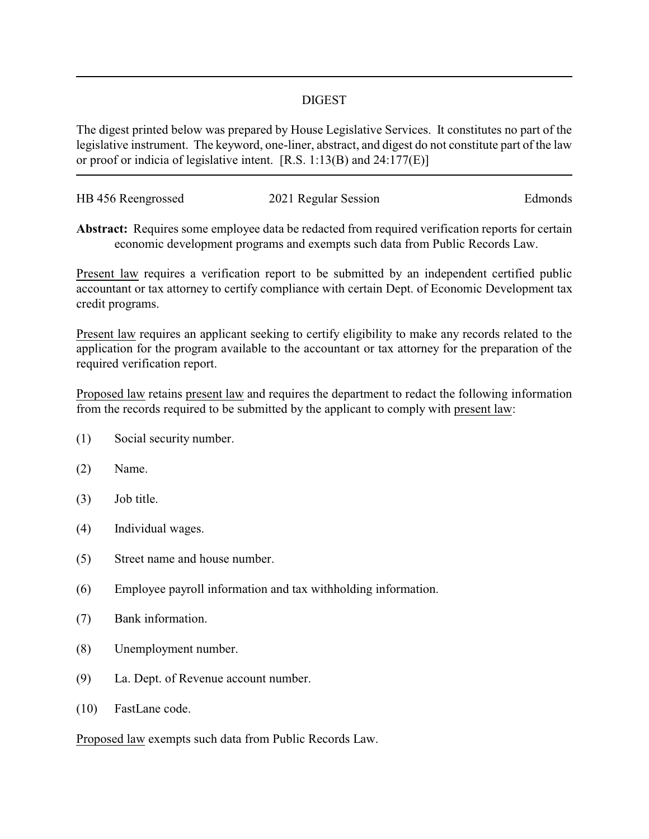## DIGEST

The digest printed below was prepared by House Legislative Services. It constitutes no part of the legislative instrument. The keyword, one-liner, abstract, and digest do not constitute part of the law or proof or indicia of legislative intent. [R.S. 1:13(B) and 24:177(E)]

| HB 456 Reengrossed | 2021 Regular Session | Edmonds |
|--------------------|----------------------|---------|
|                    |                      |         |

**Abstract:** Requires some employee data be redacted from required verification reports for certain economic development programs and exempts such data from Public Records Law.

Present law requires a verification report to be submitted by an independent certified public accountant or tax attorney to certify compliance with certain Dept. of Economic Development tax credit programs.

Present law requires an applicant seeking to certify eligibility to make any records related to the application for the program available to the accountant or tax attorney for the preparation of the required verification report.

Proposed law retains present law and requires the department to redact the following information from the records required to be submitted by the applicant to comply with present law:

- (1) Social security number.
- (2) Name.
- (3) Job title.
- (4) Individual wages.
- (5) Street name and house number.
- (6) Employee payroll information and tax withholding information.
- (7) Bank information.
- (8) Unemployment number.
- (9) La. Dept. of Revenue account number.
- (10) FastLane code.

Proposed law exempts such data from Public Records Law.